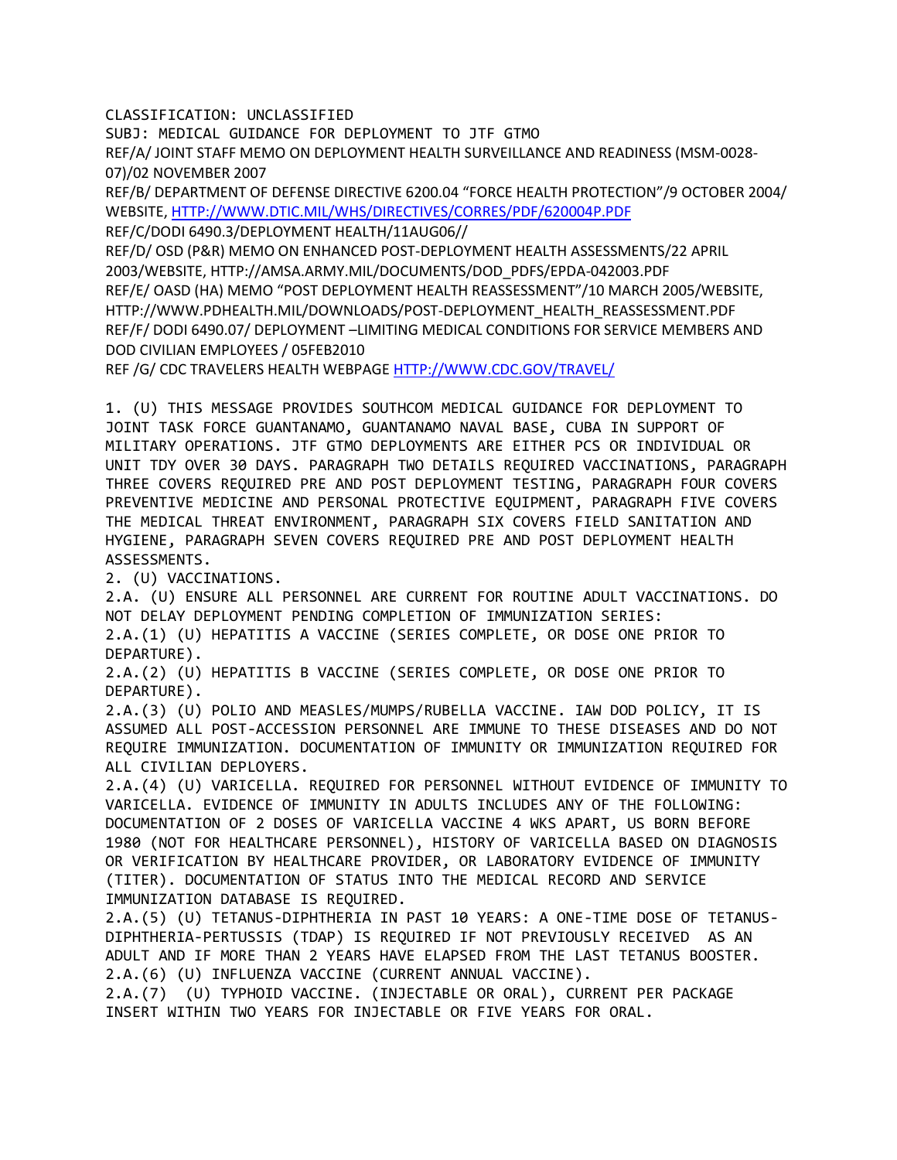CLASSIFICATION: UNCLASSIFIED

SUBJ: MEDICAL GUIDANCE FOR DEPLOYMENT TO JTF GTMO REF/A/ JOINT STAFF MEMO ON DEPLOYMENT HEALTH SURVEILLANCE AND READINESS (MSM-0028- 07)/02 NOVEMBER 2007

REF/B/ DEPARTMENT OF DEFENSE DIRECTIVE 6200.04 "FORCE HEALTH PROTECTION"/9 OCTOBER 2004/ WEBSITE, [HTTP://WWW.DTIC.MIL/WHS/DIRECTIVES/CORRES/PDF/620004P.PDF](http://www.dtic.mil/whs/directives/corres/pdf/620004p.pdf)

REF/C/DODI 6490.3/DEPLOYMENT HEALTH/11AUG06//

REF/D/ OSD (P&R) MEMO ON ENHANCED POST-DEPLOYMENT HEALTH ASSESSMENTS/22 APRIL 2003/WEBSITE, HTTP://AMSA.ARMY.MIL/DOCUMENTS/DOD\_PDFS/EPDA-042003.PDF REF/E/ OASD (HA) MEMO "POST DEPLOYMENT HEALTH REASSESSMENT"/10 MARCH 2005/WEBSITE, HTTP://WWW.PDHEALTH.MIL/DOWNLOADS/POST-DEPLOYMENT\_HEALTH\_REASSESSMENT.PDF REF/F/ DODI 6490.07/ DEPLOYMENT –LIMITING MEDICAL CONDITIONS FOR SERVICE MEMBERS AND DOD CIVILIAN EMPLOYEES / 05FEB2010

REF /G/ CDC TRAVELERS HEALTH WEBPAG[E HTTP://WWW.CDC.GOV/TRAVEL/](http://www.cdc.gov/TRAVEL/)

1. (U) THIS MESSAGE PROVIDES SOUTHCOM MEDICAL GUIDANCE FOR DEPLOYMENT TO JOINT TASK FORCE GUANTANAMO, GUANTANAMO NAVAL BASE, CUBA IN SUPPORT OF MILITARY OPERATIONS. JTF GTMO DEPLOYMENTS ARE EITHER PCS OR INDIVIDUAL OR UNIT TDY OVER 30 DAYS. PARAGRAPH TWO DETAILS REQUIRED VACCINATIONS, PARAGRAPH THREE COVERS REQUIRED PRE AND POST DEPLOYMENT TESTING, PARAGRAPH FOUR COVERS PREVENTIVE MEDICINE AND PERSONAL PROTECTIVE EQUIPMENT, PARAGRAPH FIVE COVERS THE MEDICAL THREAT ENVIRONMENT, PARAGRAPH SIX COVERS FIELD SANITATION AND HYGIENE, PARAGRAPH SEVEN COVERS REQUIRED PRE AND POST DEPLOYMENT HEALTH ASSESSMENTS.

2. (U) VACCINATIONS.

2.A. (U) ENSURE ALL PERSONNEL ARE CURRENT FOR ROUTINE ADULT VACCINATIONS. DO NOT DELAY DEPLOYMENT PENDING COMPLETION OF IMMUNIZATION SERIES:

2.A.(1) (U) HEPATITIS A VACCINE (SERIES COMPLETE, OR DOSE ONE PRIOR TO DEPARTURE).

2.A.(2) (U) HEPATITIS B VACCINE (SERIES COMPLETE, OR DOSE ONE PRIOR TO DEPARTURE).

2.A.(3) (U) POLIO AND MEASLES/MUMPS/RUBELLA VACCINE. IAW DOD POLICY, IT IS ASSUMED ALL POST-ACCESSION PERSONNEL ARE IMMUNE TO THESE DISEASES AND DO NOT REQUIRE IMMUNIZATION. DOCUMENTATION OF IMMUNITY OR IMMUNIZATION REQUIRED FOR ALL CIVILIAN DEPLOYERS.

2.A.(4) (U) VARICELLA. REQUIRED FOR PERSONNEL WITHOUT EVIDENCE OF IMMUNITY TO VARICELLA. EVIDENCE OF IMMUNITY IN ADULTS INCLUDES ANY OF THE FOLLOWING: DOCUMENTATION OF 2 DOSES OF VARICELLA VACCINE 4 WKS APART, US BORN BEFORE 1980 (NOT FOR HEALTHCARE PERSONNEL), HISTORY OF VARICELLA BASED ON DIAGNOSIS OR VERIFICATION BY HEALTHCARE PROVIDER, OR LABORATORY EVIDENCE OF IMMUNITY (TITER). DOCUMENTATION OF STATUS INTO THE MEDICAL RECORD AND SERVICE IMMUNIZATION DATABASE IS REQUIRED.

2.A.(5) (U) TETANUS-DIPHTHERIA IN PAST 10 YEARS: A ONE-TIME DOSE OF TETANUS-DIPHTHERIA-PERTUSSIS (TDAP) IS REQUIRED IF NOT PREVIOUSLY RECEIVED AS AN ADULT AND IF MORE THAN 2 YEARS HAVE ELAPSED FROM THE LAST TETANUS BOOSTER. 2.A.(6) (U) INFLUENZA VACCINE (CURRENT ANNUAL VACCINE).

2.A.(7) (U) TYPHOID VACCINE. (INJECTABLE OR ORAL), CURRENT PER PACKAGE INSERT WITHIN TWO YEARS FOR INJECTABLE OR FIVE YEARS FOR ORAL.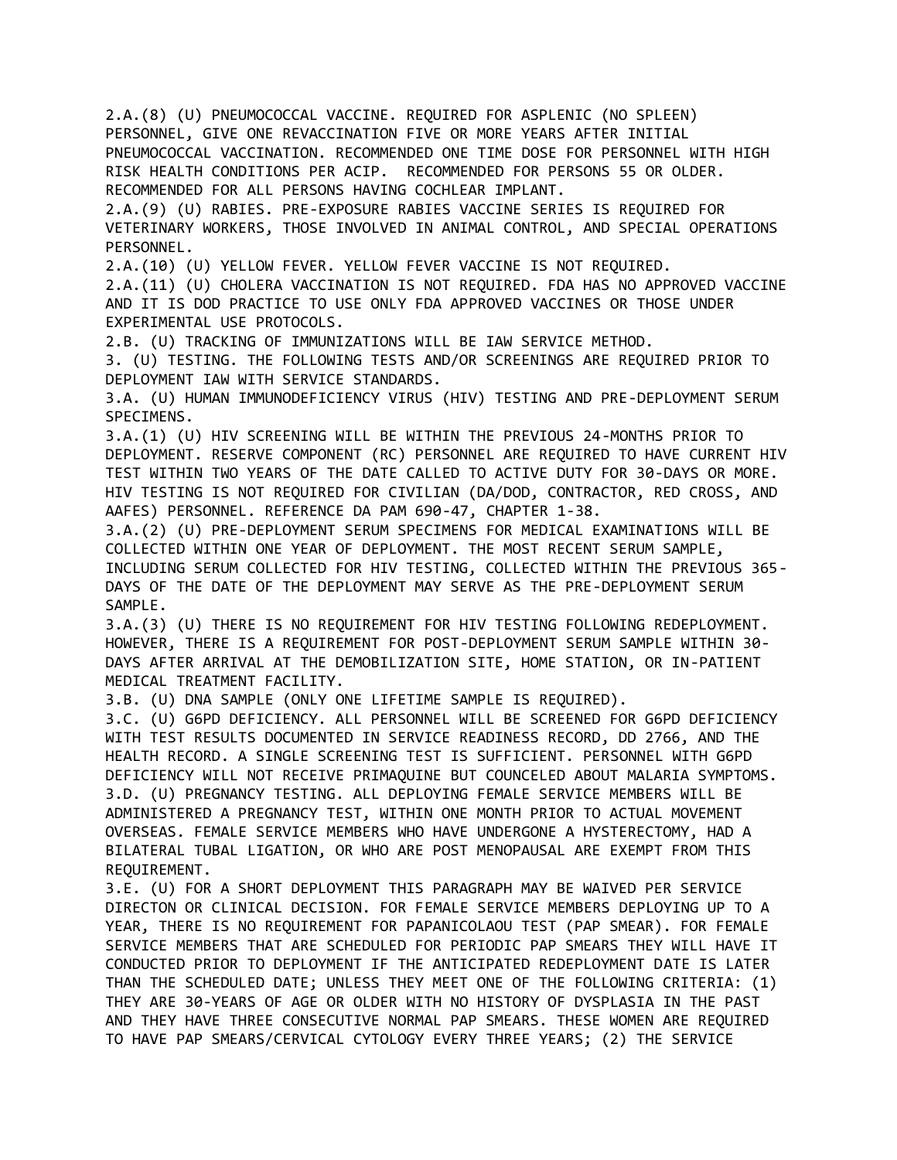2.A.(8) (U) PNEUMOCOCCAL VACCINE. REQUIRED FOR ASPLENIC (NO SPLEEN) PERSONNEL, GIVE ONE REVACCINATION FIVE OR MORE YEARS AFTER INITIAL PNEUMOCOCCAL VACCINATION. RECOMMENDED ONE TIME DOSE FOR PERSONNEL WITH HIGH RISK HEALTH CONDITIONS PER ACIP. RECOMMENDED FOR PERSONS 55 OR OLDER. RECOMMENDED FOR ALL PERSONS HAVING COCHLEAR IMPLANT. 2.A.(9) (U) RABIES. PRE-EXPOSURE RABIES VACCINE SERIES IS REQUIRED FOR VETERINARY WORKERS, THOSE INVOLVED IN ANIMAL CONTROL, AND SPECIAL OPERATIONS PERSONNEL. 2.A.(10) (U) YELLOW FEVER. YELLOW FEVER VACCINE IS NOT REQUIRED. 2.A.(11) (U) CHOLERA VACCINATION IS NOT REQUIRED. FDA HAS NO APPROVED VACCINE AND IT IS DOD PRACTICE TO USE ONLY FDA APPROVED VACCINES OR THOSE UNDER EXPERIMENTAL USE PROTOCOLS. 2.B. (U) TRACKING OF IMMUNIZATIONS WILL BE IAW SERVICE METHOD. 3. (U) TESTING. THE FOLLOWING TESTS AND/OR SCREENINGS ARE REQUIRED PRIOR TO DEPLOYMENT IAW WITH SERVICE STANDARDS. 3.A. (U) HUMAN IMMUNODEFICIENCY VIRUS (HIV) TESTING AND PRE-DEPLOYMENT SERUM SPECIMENS. 3.A.(1) (U) HIV SCREENING WILL BE WITHIN THE PREVIOUS 24-MONTHS PRIOR TO DEPLOYMENT. RESERVE COMPONENT (RC) PERSONNEL ARE REQUIRED TO HAVE CURRENT HIV TEST WITHIN TWO YEARS OF THE DATE CALLED TO ACTIVE DUTY FOR 30-DAYS OR MORE. HIV TESTING IS NOT REQUIRED FOR CIVILIAN (DA/DOD, CONTRACTOR, RED CROSS, AND AAFES) PERSONNEL. REFERENCE DA PAM 690-47, CHAPTER 1-38. 3.A.(2) (U) PRE-DEPLOYMENT SERUM SPECIMENS FOR MEDICAL EXAMINATIONS WILL BE COLLECTED WITHIN ONE YEAR OF DEPLOYMENT. THE MOST RECENT SERUM SAMPLE, INCLUDING SERUM COLLECTED FOR HIV TESTING, COLLECTED WITHIN THE PREVIOUS 365- DAYS OF THE DATE OF THE DEPLOYMENT MAY SERVE AS THE PRE-DEPLOYMENT SERUM SAMPLE. 3.A.(3) (U) THERE IS NO REQUIREMENT FOR HIV TESTING FOLLOWING REDEPLOYMENT. HOWEVER, THERE IS A REQUIREMENT FOR POST-DEPLOYMENT SERUM SAMPLE WITHIN 30- DAYS AFTER ARRIVAL AT THE DEMOBILIZATION SITE, HOME STATION, OR IN-PATIENT MEDICAL TREATMENT FACILITY. 3.B. (U) DNA SAMPLE (ONLY ONE LIFETIME SAMPLE IS REQUIRED). 3.C. (U) G6PD DEFICIENCY. ALL PERSONNEL WILL BE SCREENED FOR G6PD DEFICIENCY WITH TEST RESULTS DOCUMENTED IN SERVICE READINESS RECORD, DD 2766, AND THE HEALTH RECORD. A SINGLE SCREENING TEST IS SUFFICIENT. PERSONNEL WITH G6PD DEFICIENCY WILL NOT RECEIVE PRIMAQUINE BUT COUNCELED ABOUT MALARIA SYMPTOMS. 3.D. (U) PREGNANCY TESTING. ALL DEPLOYING FEMALE SERVICE MEMBERS WILL BE ADMINISTERED A PREGNANCY TEST, WITHIN ONE MONTH PRIOR TO ACTUAL MOVEMENT OVERSEAS. FEMALE SERVICE MEMBERS WHO HAVE UNDERGONE A HYSTERECTOMY, HAD A BILATERAL TUBAL LIGATION, OR WHO ARE POST MENOPAUSAL ARE EXEMPT FROM THIS REQUIREMENT. 3.E. (U) FOR A SHORT DEPLOYMENT THIS PARAGRAPH MAY BE WAIVED PER SERVICE DIRECTON OR CLINICAL DECISION. FOR FEMALE SERVICE MEMBERS DEPLOYING UP TO A YEAR, THERE IS NO REQUIREMENT FOR PAPANICOLAOU TEST (PAP SMEAR). FOR FEMALE SERVICE MEMBERS THAT ARE SCHEDULED FOR PERIODIC PAP SMEARS THEY WILL HAVE IT CONDUCTED PRIOR TO DEPLOYMENT IF THE ANTICIPATED REDEPLOYMENT DATE IS LATER THAN THE SCHEDULED DATE; UNLESS THEY MEET ONE OF THE FOLLOWING CRITERIA: (1) THEY ARE 30-YEARS OF AGE OR OLDER WITH NO HISTORY OF DYSPLASIA IN THE PAST AND THEY HAVE THREE CONSECUTIVE NORMAL PAP SMEARS. THESE WOMEN ARE REQUIRED TO HAVE PAP SMEARS/CERVICAL CYTOLOGY EVERY THREE YEARS; (2) THE SERVICE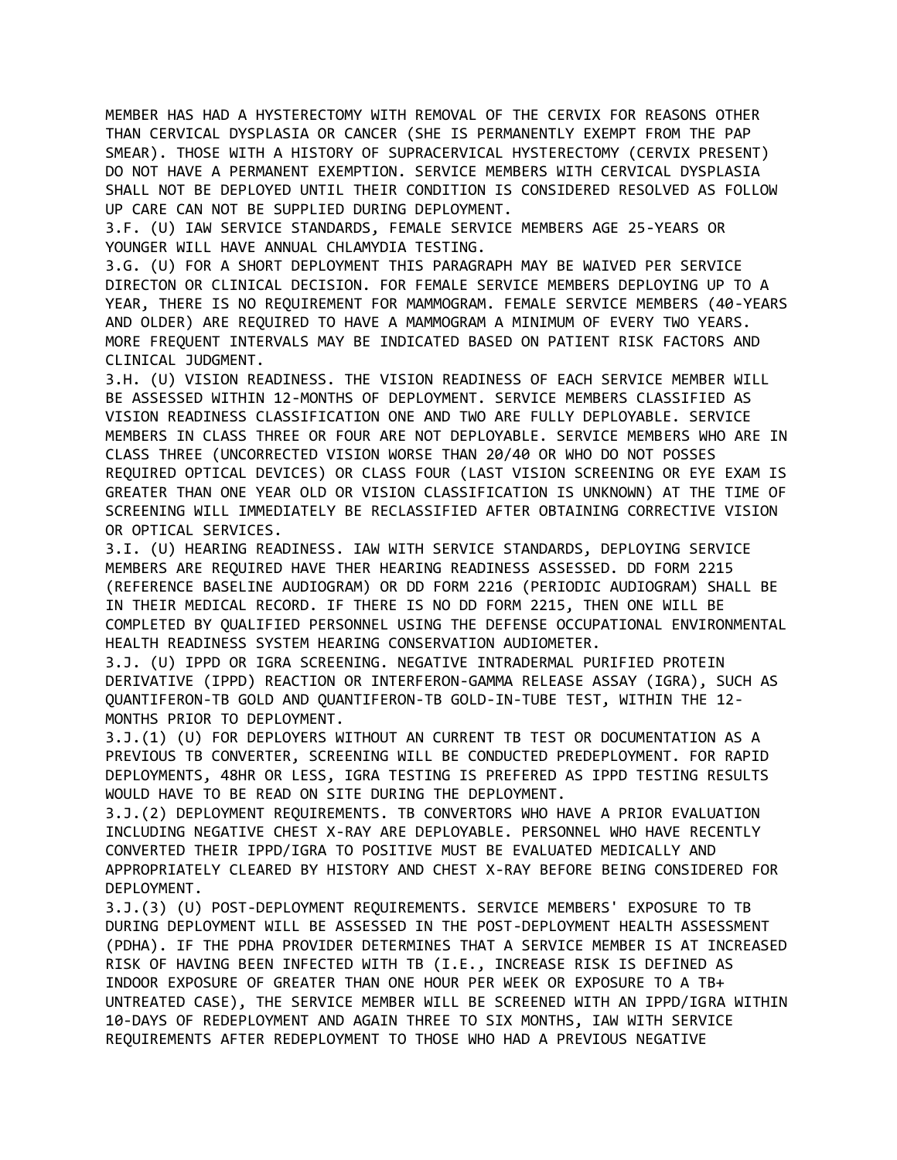MEMBER HAS HAD A HYSTERECTOMY WITH REMOVAL OF THE CERVIX FOR REASONS OTHER THAN CERVICAL DYSPLASIA OR CANCER (SHE IS PERMANENTLY EXEMPT FROM THE PAP SMEAR). THOSE WITH A HISTORY OF SUPRACERVICAL HYSTERECTOMY (CERVIX PRESENT) DO NOT HAVE A PERMANENT EXEMPTION. SERVICE MEMBERS WITH CERVICAL DYSPLASIA SHALL NOT BE DEPLOYED UNTIL THEIR CONDITION IS CONSIDERED RESOLVED AS FOLLOW UP CARE CAN NOT BE SUPPLIED DURING DEPLOYMENT.

3.F. (U) IAW SERVICE STANDARDS, FEMALE SERVICE MEMBERS AGE 25-YEARS OR YOUNGER WILL HAVE ANNUAL CHLAMYDIA TESTING.

3.G. (U) FOR A SHORT DEPLOYMENT THIS PARAGRAPH MAY BE WAIVED PER SERVICE DIRECTON OR CLINICAL DECISION. FOR FEMALE SERVICE MEMBERS DEPLOYING UP TO A YEAR, THERE IS NO REQUIREMENT FOR MAMMOGRAM. FEMALE SERVICE MEMBERS (40-YEARS AND OLDER) ARE REQUIRED TO HAVE A MAMMOGRAM A MINIMUM OF EVERY TWO YEARS. MORE FREQUENT INTERVALS MAY BE INDICATED BASED ON PATIENT RISK FACTORS AND CLINICAL JUDGMENT.

3.H. (U) VISION READINESS. THE VISION READINESS OF EACH SERVICE MEMBER WILL BE ASSESSED WITHIN 12-MONTHS OF DEPLOYMENT. SERVICE MEMBERS CLASSIFIED AS VISION READINESS CLASSIFICATION ONE AND TWO ARE FULLY DEPLOYABLE. SERVICE MEMBERS IN CLASS THREE OR FOUR ARE NOT DEPLOYABLE. SERVICE MEMBERS WHO ARE IN CLASS THREE (UNCORRECTED VISION WORSE THAN 20/40 OR WHO DO NOT POSSES REQUIRED OPTICAL DEVICES) OR CLASS FOUR (LAST VISION SCREENING OR EYE EXAM IS GREATER THAN ONE YEAR OLD OR VISION CLASSIFICATION IS UNKNOWN) AT THE TIME OF SCREENING WILL IMMEDIATELY BE RECLASSIFIED AFTER OBTAINING CORRECTIVE VISION OR OPTICAL SERVICES.

3.I. (U) HEARING READINESS. IAW WITH SERVICE STANDARDS, DEPLOYING SERVICE MEMBERS ARE REQUIRED HAVE THER HEARING READINESS ASSESSED. DD FORM 2215 (REFERENCE BASELINE AUDIOGRAM) OR DD FORM 2216 (PERIODIC AUDIOGRAM) SHALL BE IN THEIR MEDICAL RECORD. IF THERE IS NO DD FORM 2215, THEN ONE WILL BE COMPLETED BY QUALIFIED PERSONNEL USING THE DEFENSE OCCUPATIONAL ENVIRONMENTAL HEALTH READINESS SYSTEM HEARING CONSERVATION AUDIOMETER.

3.J. (U) IPPD OR IGRA SCREENING. NEGATIVE INTRADERMAL PURIFIED PROTEIN DERIVATIVE (IPPD) REACTION OR INTERFERON-GAMMA RELEASE ASSAY (IGRA), SUCH AS QUANTIFERON-TB GOLD AND QUANTIFERON-TB GOLD-IN-TUBE TEST, WITHIN THE 12- MONTHS PRIOR TO DEPLOYMENT.

3.J.(1) (U) FOR DEPLOYERS WITHOUT AN CURRENT TB TEST OR DOCUMENTATION AS A PREVIOUS TB CONVERTER, SCREENING WILL BE CONDUCTED PREDEPLOYMENT. FOR RAPID DEPLOYMENTS, 48HR OR LESS, IGRA TESTING IS PREFERED AS IPPD TESTING RESULTS WOULD HAVE TO BE READ ON SITE DURING THE DEPLOYMENT.

3.J.(2) DEPLOYMENT REQUIREMENTS. TB CONVERTORS WHO HAVE A PRIOR EVALUATION INCLUDING NEGATIVE CHEST X-RAY ARE DEPLOYABLE. PERSONNEL WHO HAVE RECENTLY CONVERTED THEIR IPPD/IGRA TO POSITIVE MUST BE EVALUATED MEDICALLY AND APPROPRIATELY CLEARED BY HISTORY AND CHEST X-RAY BEFORE BEING CONSIDERED FOR DEPLOYMENT.

3.J.(3) (U) POST-DEPLOYMENT REQUIREMENTS. SERVICE MEMBERS' EXPOSURE TO TB DURING DEPLOYMENT WILL BE ASSESSED IN THE POST-DEPLOYMENT HEALTH ASSESSMENT (PDHA). IF THE PDHA PROVIDER DETERMINES THAT A SERVICE MEMBER IS AT INCREASED RISK OF HAVING BEEN INFECTED WITH TB (I.E., INCREASE RISK IS DEFINED AS INDOOR EXPOSURE OF GREATER THAN ONE HOUR PER WEEK OR EXPOSURE TO A TB+ UNTREATED CASE), THE SERVICE MEMBER WILL BE SCREENED WITH AN IPPD/IGRA WITHIN 10-DAYS OF REDEPLOYMENT AND AGAIN THREE TO SIX MONTHS, IAW WITH SERVICE REQUIREMENTS AFTER REDEPLOYMENT TO THOSE WHO HAD A PREVIOUS NEGATIVE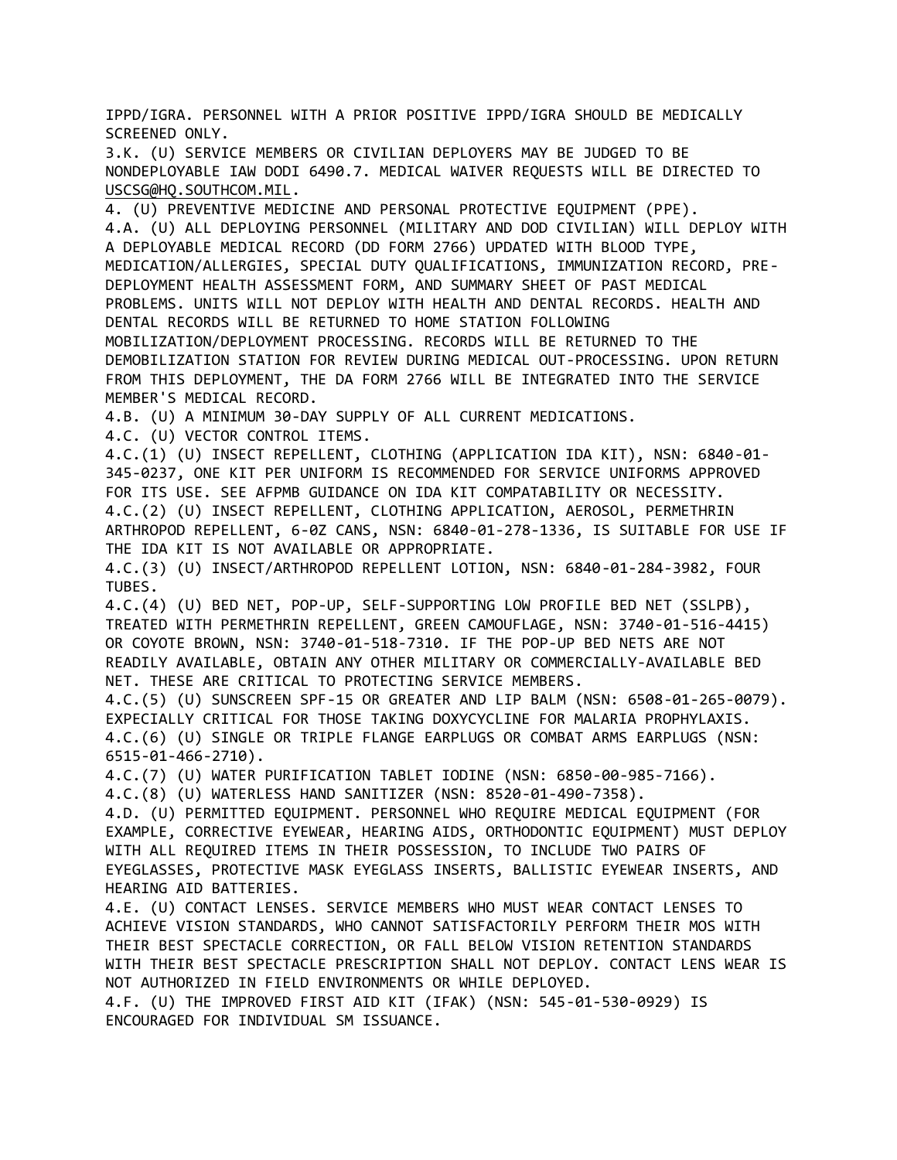IPPD/IGRA. PERSONNEL WITH A PRIOR POSITIVE IPPD/IGRA SHOULD BE MEDICALLY SCREENED ONLY.

3.K. (U) SERVICE MEMBERS OR CIVILIAN DEPLOYERS MAY BE JUDGED TO BE NONDEPLOYABLE IAW DODI 6490.7. MEDICAL WAIVER REQUESTS WILL BE DIRECTED TO [USCSG@HQ.SOUTHCOM.MIL.](mailto:USCSG@HQ.SOUTHCOM.MIL)

4. (U) PREVENTIVE MEDICINE AND PERSONAL PROTECTIVE EQUIPMENT (PPE). 4.A. (U) ALL DEPLOYING PERSONNEL (MILITARY AND DOD CIVILIAN) WILL DEPLOY WITH A DEPLOYABLE MEDICAL RECORD (DD FORM 2766) UPDATED WITH BLOOD TYPE, MEDICATION/ALLERGIES, SPECIAL DUTY QUALIFICATIONS, IMMUNIZATION RECORD, PRE-DEPLOYMENT HEALTH ASSESSMENT FORM, AND SUMMARY SHEET OF PAST MEDICAL PROBLEMS. UNITS WILL NOT DEPLOY WITH HEALTH AND DENTAL RECORDS. HEALTH AND DENTAL RECORDS WILL BE RETURNED TO HOME STATION FOLLOWING MOBILIZATION/DEPLOYMENT PROCESSING. RECORDS WILL BE RETURNED TO THE DEMOBILIZATION STATION FOR REVIEW DURING MEDICAL OUT-PROCESSING. UPON RETURN FROM THIS DEPLOYMENT, THE DA FORM 2766 WILL BE INTEGRATED INTO THE SERVICE MEMBER'S MEDICAL RECORD.

4.B. (U) A MINIMUM 30-DAY SUPPLY OF ALL CURRENT MEDICATIONS.

4.C. (U) VECTOR CONTROL ITEMS.

4.C.(1) (U) INSECT REPELLENT, CLOTHING (APPLICATION IDA KIT), NSN: 6840-01- 345-0237, ONE KIT PER UNIFORM IS RECOMMENDED FOR SERVICE UNIFORMS APPROVED FOR ITS USE. SEE AFPMB GUIDANCE ON IDA KIT COMPATABILITY OR NECESSITY. 4.C.(2) (U) INSECT REPELLENT, CLOTHING APPLICATION, AEROSOL, PERMETHRIN ARTHROPOD REPELLENT, 6-0Z CANS, NSN: 6840-01-278-1336, IS SUITABLE FOR USE IF THE IDA KIT IS NOT AVAILABLE OR APPROPRIATE.

4.C.(3) (U) INSECT/ARTHROPOD REPELLENT LOTION, NSN: 6840-01-284-3982, FOUR TUBES.

4.C.(4) (U) BED NET, POP-UP, SELF-SUPPORTING LOW PROFILE BED NET (SSLPB), TREATED WITH PERMETHRIN REPELLENT, GREEN CAMOUFLAGE, NSN: 3740-01-516-4415) OR COYOTE BROWN, NSN: 3740-01-518-7310. IF THE POP-UP BED NETS ARE NOT READILY AVAILABLE, OBTAIN ANY OTHER MILITARY OR COMMERCIALLY-AVAILABLE BED NET. THESE ARE CRITICAL TO PROTECTING SERVICE MEMBERS.

4.C.(5) (U) SUNSCREEN SPF-15 OR GREATER AND LIP BALM (NSN: 6508-01-265-0079). EXPECIALLY CRITICAL FOR THOSE TAKING DOXYCYCLINE FOR MALARIA PROPHYLAXIS. 4.C.(6) (U) SINGLE OR TRIPLE FLANGE EARPLUGS OR COMBAT ARMS EARPLUGS (NSN: 6515-01-466-2710).

4.C.(7) (U) WATER PURIFICATION TABLET IODINE (NSN: 6850-00-985-7166).

4.C.(8) (U) WATERLESS HAND SANITIZER (NSN: 8520-01-490-7358).

4.D. (U) PERMITTED EQUIPMENT. PERSONNEL WHO REQUIRE MEDICAL EQUIPMENT (FOR EXAMPLE, CORRECTIVE EYEWEAR, HEARING AIDS, ORTHODONTIC EQUIPMENT) MUST DEPLOY WITH ALL REQUIRED ITEMS IN THEIR POSSESSION, TO INCLUDE TWO PAIRS OF EYEGLASSES, PROTECTIVE MASK EYEGLASS INSERTS, BALLISTIC EYEWEAR INSERTS, AND HEARING AID BATTERIES.

4.E. (U) CONTACT LENSES. SERVICE MEMBERS WHO MUST WEAR CONTACT LENSES TO ACHIEVE VISION STANDARDS, WHO CANNOT SATISFACTORILY PERFORM THEIR MOS WITH THEIR BEST SPECTACLE CORRECTION, OR FALL BELOW VISION RETENTION STANDARDS WITH THEIR BEST SPECTACLE PRESCRIPTION SHALL NOT DEPLOY. CONTACT LENS WEAR IS NOT AUTHORIZED IN FIELD ENVIRONMENTS OR WHILE DEPLOYED.

4.F. (U) THE IMPROVED FIRST AID KIT (IFAK) (NSN: 545-01-530-0929) IS ENCOURAGED FOR INDIVIDUAL SM ISSUANCE.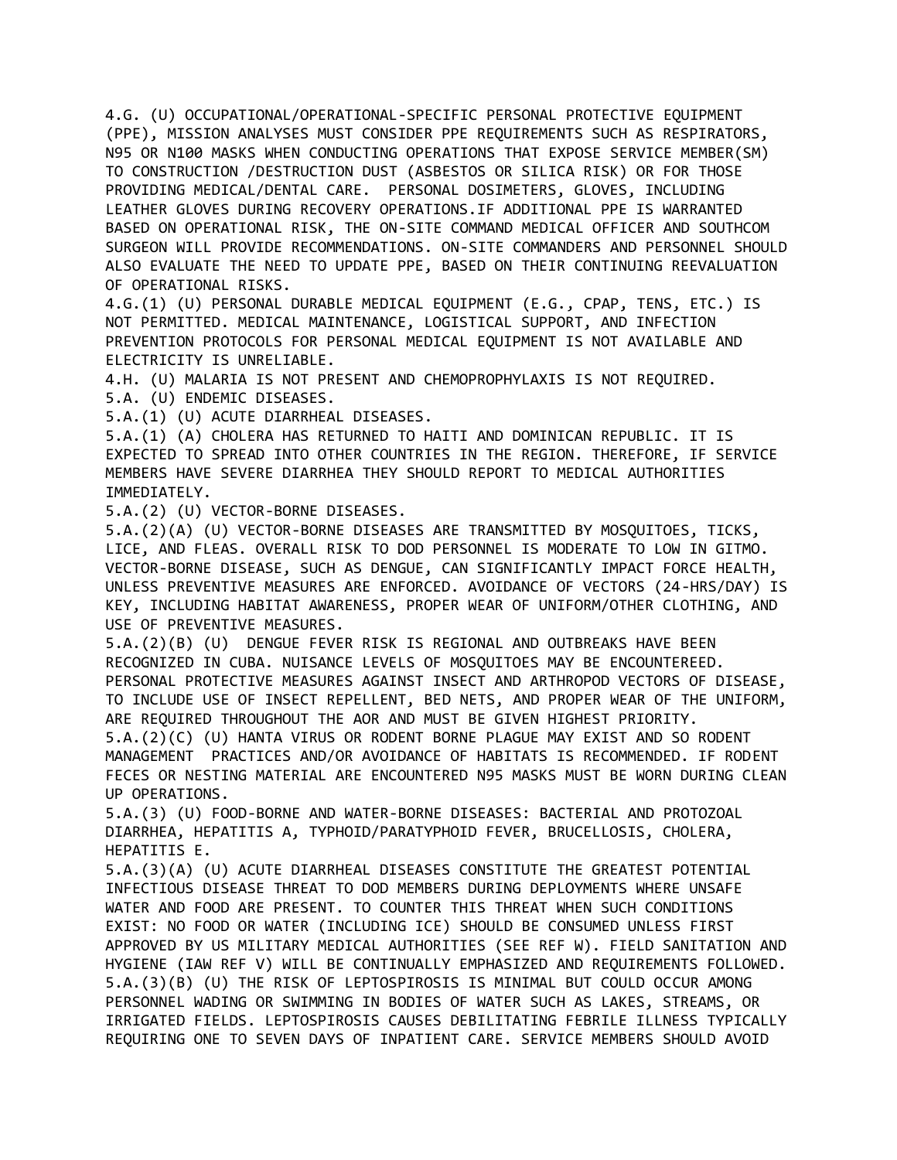4.G. (U) OCCUPATIONAL/OPERATIONAL-SPECIFIC PERSONAL PROTECTIVE EQUIPMENT (PPE), MISSION ANALYSES MUST CONSIDER PPE REQUIREMENTS SUCH AS RESPIRATORS, N95 OR N100 MASKS WHEN CONDUCTING OPERATIONS THAT EXPOSE SERVICE MEMBER(SM) TO CONSTRUCTION /DESTRUCTION DUST (ASBESTOS OR SILICA RISK) OR FOR THOSE PROVIDING MEDICAL/DENTAL CARE. PERSONAL DOSIMETERS, GLOVES, INCLUDING LEATHER GLOVES DURING RECOVERY OPERATIONS.IF ADDITIONAL PPE IS WARRANTED BASED ON OPERATIONAL RISK, THE ON-SITE COMMAND MEDICAL OFFICER AND SOUTHCOM SURGEON WILL PROVIDE RECOMMENDATIONS. ON-SITE COMMANDERS AND PERSONNEL SHOULD ALSO EVALUATE THE NEED TO UPDATE PPE, BASED ON THEIR CONTINUING REEVALUATION OF OPERATIONAL RISKS.

4.G.(1) (U) PERSONAL DURABLE MEDICAL EQUIPMENT (E.G., CPAP, TENS, ETC.) IS NOT PERMITTED. MEDICAL MAINTENANCE, LOGISTICAL SUPPORT, AND INFECTION PREVENTION PROTOCOLS FOR PERSONAL MEDICAL EQUIPMENT IS NOT AVAILABLE AND ELECTRICITY IS UNRELIABLE.

4.H. (U) MALARIA IS NOT PRESENT AND CHEMOPROPHYLAXIS IS NOT REQUIRED. 5.A. (U) ENDEMIC DISEASES.

5.A.(1) (U) ACUTE DIARRHEAL DISEASES.

5.A.(1) (A) CHOLERA HAS RETURNED TO HAITI AND DOMINICAN REPUBLIC. IT IS EXPECTED TO SPREAD INTO OTHER COUNTRIES IN THE REGION. THEREFORE, IF SERVICE MEMBERS HAVE SEVERE DIARRHEA THEY SHOULD REPORT TO MEDICAL AUTHORITIES IMMEDIATELY.

5.A.(2) (U) VECTOR-BORNE DISEASES.

5.A.(2)(A) (U) VECTOR-BORNE DISEASES ARE TRANSMITTED BY MOSQUITOES, TICKS, LICE, AND FLEAS. OVERALL RISK TO DOD PERSONNEL IS MODERATE TO LOW IN GITMO. VECTOR-BORNE DISEASE, SUCH AS DENGUE, CAN SIGNIFICANTLY IMPACT FORCE HEALTH, UNLESS PREVENTIVE MEASURES ARE ENFORCED. AVOIDANCE OF VECTORS (24-HRS/DAY) IS KEY, INCLUDING HABITAT AWARENESS, PROPER WEAR OF UNIFORM/OTHER CLOTHING, AND USE OF PREVENTIVE MEASURES.

5.A.(2)(B) (U) DENGUE FEVER RISK IS REGIONAL AND OUTBREAKS HAVE BEEN RECOGNIZED IN CUBA. NUISANCE LEVELS OF MOSQUITOES MAY BE ENCOUNTEREED. PERSONAL PROTECTIVE MEASURES AGAINST INSECT AND ARTHROPOD VECTORS OF DISEASE, TO INCLUDE USE OF INSECT REPELLENT, BED NETS, AND PROPER WEAR OF THE UNIFORM, ARE REQUIRED THROUGHOUT THE AOR AND MUST BE GIVEN HIGHEST PRIORITY.

5.A.(2)(C) (U) HANTA VIRUS OR RODENT BORNE PLAGUE MAY EXIST AND SO RODENT MANAGEMENT PRACTICES AND/OR AVOIDANCE OF HABITATS IS RECOMMENDED. IF RODENT FECES OR NESTING MATERIAL ARE ENCOUNTERED N95 MASKS MUST BE WORN DURING CLEAN UP OPERATIONS.

5.A.(3) (U) FOOD-BORNE AND WATER-BORNE DISEASES: BACTERIAL AND PROTOZOAL DIARRHEA, HEPATITIS A, TYPHOID/PARATYPHOID FEVER, BRUCELLOSIS, CHOLERA, HEPATITIS E.

5.A.(3)(A) (U) ACUTE DIARRHEAL DISEASES CONSTITUTE THE GREATEST POTENTIAL INFECTIOUS DISEASE THREAT TO DOD MEMBERS DURING DEPLOYMENTS WHERE UNSAFE WATER AND FOOD ARE PRESENT. TO COUNTER THIS THREAT WHEN SUCH CONDITIONS EXIST: NO FOOD OR WATER (INCLUDING ICE) SHOULD BE CONSUMED UNLESS FIRST APPROVED BY US MILITARY MEDICAL AUTHORITIES (SEE REF W). FIELD SANITATION AND HYGIENE (IAW REF V) WILL BE CONTINUALLY EMPHASIZED AND REQUIREMENTS FOLLOWED. 5.A.(3)(B) (U) THE RISK OF LEPTOSPIROSIS IS MINIMAL BUT COULD OCCUR AMONG PERSONNEL WADING OR SWIMMING IN BODIES OF WATER SUCH AS LAKES, STREAMS, OR IRRIGATED FIELDS. LEPTOSPIROSIS CAUSES DEBILITATING FEBRILE ILLNESS TYPICALLY REQUIRING ONE TO SEVEN DAYS OF INPATIENT CARE. SERVICE MEMBERS SHOULD AVOID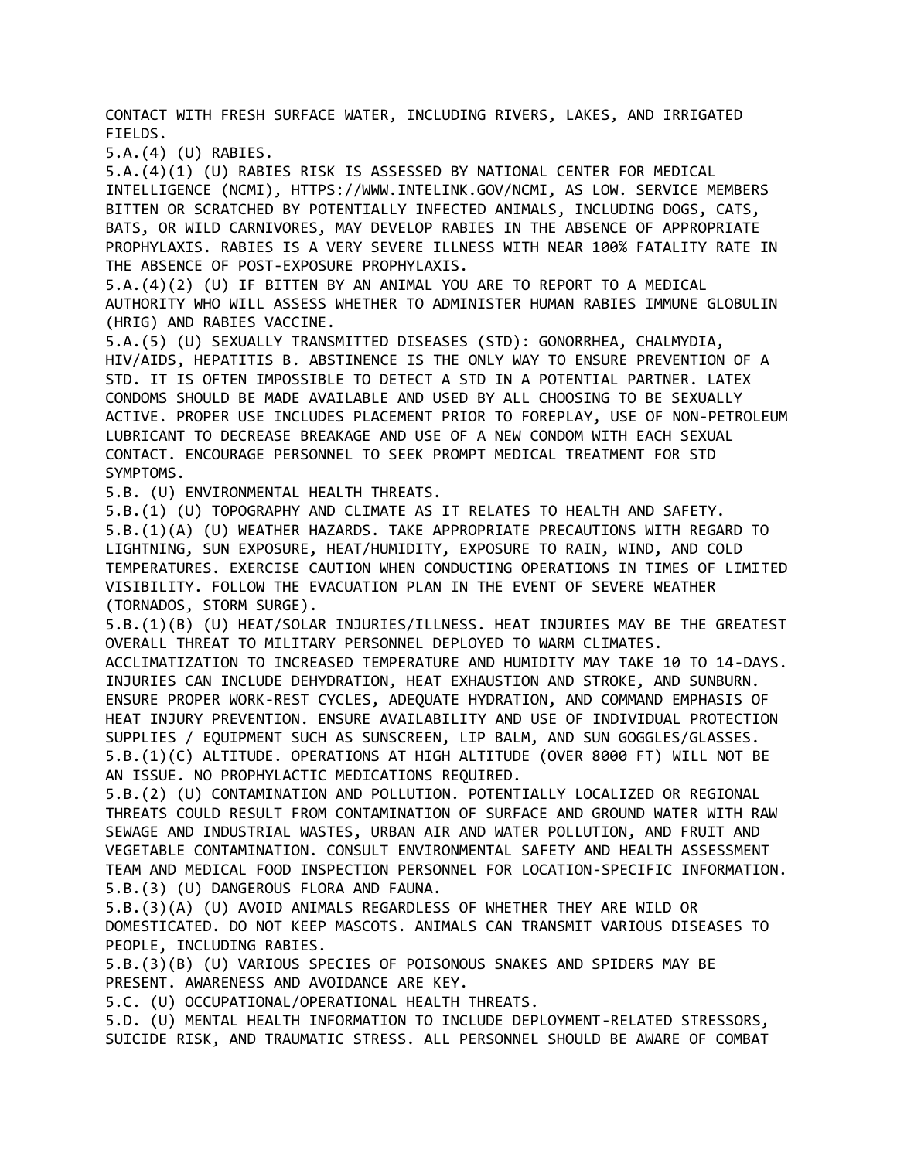CONTACT WITH FRESH SURFACE WATER, INCLUDING RIVERS, LAKES, AND IRRIGATED FIELDS.

5.A.(4) (U) RABIES.

5.A.(4)(1) (U) RABIES RISK IS ASSESSED BY NATIONAL CENTER FOR MEDICAL INTELLIGENCE (NCMI), HTTPS://WWW.INTELINK.GOV/NCMI, AS LOW. SERVICE MEMBERS BITTEN OR SCRATCHED BY POTENTIALLY INFECTED ANIMALS, INCLUDING DOGS, CATS, BATS, OR WILD CARNIVORES, MAY DEVELOP RABIES IN THE ABSENCE OF APPROPRIATE PROPHYLAXIS. RABIES IS A VERY SEVERE ILLNESS WITH NEAR 100% FATALITY RATE IN THE ABSENCE OF POST-EXPOSURE PROPHYLAXIS.

5.A.(4)(2) (U) IF BITTEN BY AN ANIMAL YOU ARE TO REPORT TO A MEDICAL AUTHORITY WHO WILL ASSESS WHETHER TO ADMINISTER HUMAN RABIES IMMUNE GLOBULIN (HRIG) AND RABIES VACCINE.

5.A.(5) (U) SEXUALLY TRANSMITTED DISEASES (STD): GONORRHEA, CHALMYDIA, HIV/AIDS, HEPATITIS B. ABSTINENCE IS THE ONLY WAY TO ENSURE PREVENTION OF A STD. IT IS OFTEN IMPOSSIBLE TO DETECT A STD IN A POTENTIAL PARTNER. LATEX CONDOMS SHOULD BE MADE AVAILABLE AND USED BY ALL CHOOSING TO BE SEXUALLY ACTIVE. PROPER USE INCLUDES PLACEMENT PRIOR TO FOREPLAY, USE OF NON-PETROLEUM LUBRICANT TO DECREASE BREAKAGE AND USE OF A NEW CONDOM WITH EACH SEXUAL CONTACT. ENCOURAGE PERSONNEL TO SEEK PROMPT MEDICAL TREATMENT FOR STD SYMPTOMS.

5.B. (U) ENVIRONMENTAL HEALTH THREATS.

5.B.(1) (U) TOPOGRAPHY AND CLIMATE AS IT RELATES TO HEALTH AND SAFETY. 5.B.(1)(A) (U) WEATHER HAZARDS. TAKE APPROPRIATE PRECAUTIONS WITH REGARD TO LIGHTNING, SUN EXPOSURE, HEAT/HUMIDITY, EXPOSURE TO RAIN, WIND, AND COLD TEMPERATURES. EXERCISE CAUTION WHEN CONDUCTING OPERATIONS IN TIMES OF LIMITED VISIBILITY. FOLLOW THE EVACUATION PLAN IN THE EVENT OF SEVERE WEATHER (TORNADOS, STORM SURGE).

5.B.(1)(B) (U) HEAT/SOLAR INJURIES/ILLNESS. HEAT INJURIES MAY BE THE GREATEST OVERALL THREAT TO MILITARY PERSONNEL DEPLOYED TO WARM CLIMATES.

ACCLIMATIZATION TO INCREASED TEMPERATURE AND HUMIDITY MAY TAKE 10 TO 14-DAYS. INJURIES CAN INCLUDE DEHYDRATION, HEAT EXHAUSTION AND STROKE, AND SUNBURN. ENSURE PROPER WORK-REST CYCLES, ADEQUATE HYDRATION, AND COMMAND EMPHASIS OF HEAT INJURY PREVENTION. ENSURE AVAILABILITY AND USE OF INDIVIDUAL PROTECTION SUPPLIES / EQUIPMENT SUCH AS SUNSCREEN, LIP BALM, AND SUN GOGGLES/GLASSES. 5.B.(1)(C) ALTITUDE. OPERATIONS AT HIGH ALTITUDE (OVER 8000 FT) WILL NOT BE AN ISSUE. NO PROPHYLACTIC MEDICATIONS REQUIRED.

5.B.(2) (U) CONTAMINATION AND POLLUTION. POTENTIALLY LOCALIZED OR REGIONAL THREATS COULD RESULT FROM CONTAMINATION OF SURFACE AND GROUND WATER WITH RAW SEWAGE AND INDUSTRIAL WASTES, URBAN AIR AND WATER POLLUTION, AND FRUIT AND VEGETABLE CONTAMINATION. CONSULT ENVIRONMENTAL SAFETY AND HEALTH ASSESSMENT TEAM AND MEDICAL FOOD INSPECTION PERSONNEL FOR LOCATION-SPECIFIC INFORMATION. 5.B.(3) (U) DANGEROUS FLORA AND FAUNA.

5.B.(3)(A) (U) AVOID ANIMALS REGARDLESS OF WHETHER THEY ARE WILD OR DOMESTICATED. DO NOT KEEP MASCOTS. ANIMALS CAN TRANSMIT VARIOUS DISEASES TO PEOPLE, INCLUDING RABIES.

5.B.(3)(B) (U) VARIOUS SPECIES OF POISONOUS SNAKES AND SPIDERS MAY BE PRESENT. AWARENESS AND AVOIDANCE ARE KEY.

5.C. (U) OCCUPATIONAL/OPERATIONAL HEALTH THREATS.

5.D. (U) MENTAL HEALTH INFORMATION TO INCLUDE DEPLOYMENT-RELATED STRESSORS, SUICIDE RISK, AND TRAUMATIC STRESS. ALL PERSONNEL SHOULD BE AWARE OF COMBAT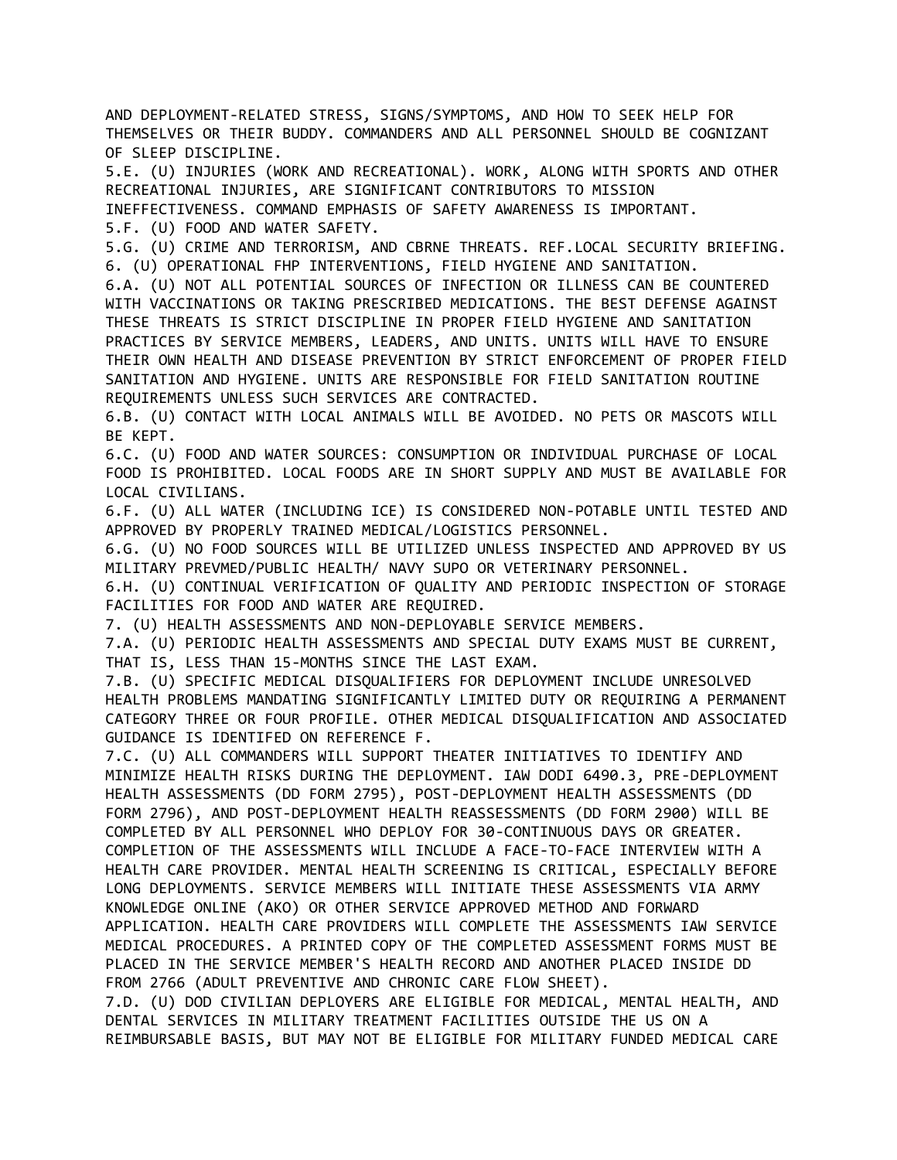AND DEPLOYMENT-RELATED STRESS, SIGNS/SYMPTOMS, AND HOW TO SEEK HELP FOR THEMSELVES OR THEIR BUDDY. COMMANDERS AND ALL PERSONNEL SHOULD BE COGNIZANT OF SLEEP DISCIPLINE.

5.E. (U) INJURIES (WORK AND RECREATIONAL). WORK, ALONG WITH SPORTS AND OTHER RECREATIONAL INJURIES, ARE SIGNIFICANT CONTRIBUTORS TO MISSION

INEFFECTIVENESS. COMMAND EMPHASIS OF SAFETY AWARENESS IS IMPORTANT.

5.F. (U) FOOD AND WATER SAFETY.

5.G. (U) CRIME AND TERRORISM, AND CBRNE THREATS. REF.LOCAL SECURITY BRIEFING. 6. (U) OPERATIONAL FHP INTERVENTIONS, FIELD HYGIENE AND SANITATION.

6.A. (U) NOT ALL POTENTIAL SOURCES OF INFECTION OR ILLNESS CAN BE COUNTERED WITH VACCINATIONS OR TAKING PRESCRIBED MEDICATIONS. THE BEST DEFENSE AGAINST THESE THREATS IS STRICT DISCIPLINE IN PROPER FIELD HYGIENE AND SANITATION PRACTICES BY SERVICE MEMBERS, LEADERS, AND UNITS. UNITS WILL HAVE TO ENSURE THEIR OWN HEALTH AND DISEASE PREVENTION BY STRICT ENFORCEMENT OF PROPER FIELD SANITATION AND HYGIENE. UNITS ARE RESPONSIBLE FOR FIELD SANITATION ROUTINE REQUIREMENTS UNLESS SUCH SERVICES ARE CONTRACTED.

6.B. (U) CONTACT WITH LOCAL ANIMALS WILL BE AVOIDED. NO PETS OR MASCOTS WILL BE KEPT.

6.C. (U) FOOD AND WATER SOURCES: CONSUMPTION OR INDIVIDUAL PURCHASE OF LOCAL FOOD IS PROHIBITED. LOCAL FOODS ARE IN SHORT SUPPLY AND MUST BE AVAILABLE FOR LOCAL CIVILIANS.

6.F. (U) ALL WATER (INCLUDING ICE) IS CONSIDERED NON-POTABLE UNTIL TESTED AND APPROVED BY PROPERLY TRAINED MEDICAL/LOGISTICS PERSONNEL.

6.G. (U) NO FOOD SOURCES WILL BE UTILIZED UNLESS INSPECTED AND APPROVED BY US MILITARY PREVMED/PUBLIC HEALTH/ NAVY SUPO OR VETERINARY PERSONNEL.

6.H. (U) CONTINUAL VERIFICATION OF QUALITY AND PERIODIC INSPECTION OF STORAGE FACILITIES FOR FOOD AND WATER ARE REQUIRED.

7. (U) HEALTH ASSESSMENTS AND NON-DEPLOYABLE SERVICE MEMBERS.

7.A. (U) PERIODIC HEALTH ASSESSMENTS AND SPECIAL DUTY EXAMS MUST BE CURRENT, THAT IS, LESS THAN 15-MONTHS SINCE THE LAST EXAM.

7.B. (U) SPECIFIC MEDICAL DISQUALIFIERS FOR DEPLOYMENT INCLUDE UNRESOLVED HEALTH PROBLEMS MANDATING SIGNIFICANTLY LIMITED DUTY OR REQUIRING A PERMANENT CATEGORY THREE OR FOUR PROFILE. OTHER MEDICAL DISQUALIFICATION AND ASSOCIATED GUIDANCE IS IDENTIFED ON REFERENCE F.

7.C. (U) ALL COMMANDERS WILL SUPPORT THEATER INITIATIVES TO IDENTIFY AND MINIMIZE HEALTH RISKS DURING THE DEPLOYMENT. IAW DODI 6490.3, PRE-DEPLOYMENT HEALTH ASSESSMENTS (DD FORM 2795), POST-DEPLOYMENT HEALTH ASSESSMENTS (DD FORM 2796), AND POST-DEPLOYMENT HEALTH REASSESSMENTS (DD FORM 2900) WILL BE COMPLETED BY ALL PERSONNEL WHO DEPLOY FOR 30-CONTINUOUS DAYS OR GREATER. COMPLETION OF THE ASSESSMENTS WILL INCLUDE A FACE-TO-FACE INTERVIEW WITH A HEALTH CARE PROVIDER. MENTAL HEALTH SCREENING IS CRITICAL, ESPECIALLY BEFORE LONG DEPLOYMENTS. SERVICE MEMBERS WILL INITIATE THESE ASSESSMENTS VIA ARMY KNOWLEDGE ONLINE (AKO) OR OTHER SERVICE APPROVED METHOD AND FORWARD APPLICATION. HEALTH CARE PROVIDERS WILL COMPLETE THE ASSESSMENTS IAW SERVICE MEDICAL PROCEDURES. A PRINTED COPY OF THE COMPLETED ASSESSMENT FORMS MUST BE PLACED IN THE SERVICE MEMBER'S HEALTH RECORD AND ANOTHER PLACED INSIDE DD FROM 2766 (ADULT PREVENTIVE AND CHRONIC CARE FLOW SHEET).

7.D. (U) DOD CIVILIAN DEPLOYERS ARE ELIGIBLE FOR MEDICAL, MENTAL HEALTH, AND DENTAL SERVICES IN MILITARY TREATMENT FACILITIES OUTSIDE THE US ON A REIMBURSABLE BASIS, BUT MAY NOT BE ELIGIBLE FOR MILITARY FUNDED MEDICAL CARE